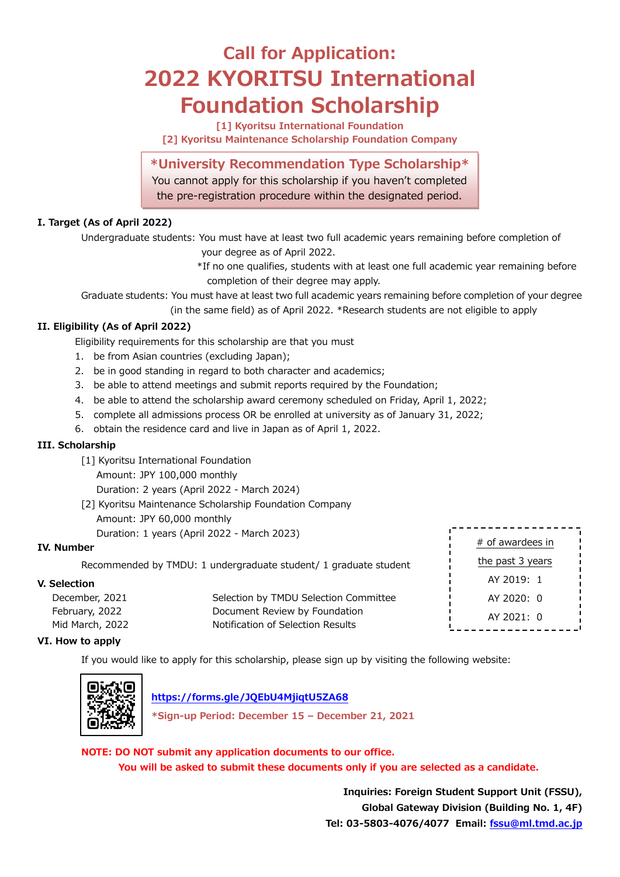# **Call for Application: 2022 KYORITSU International Foundation Scholarship**

**[1] Kyoritsu International Foundation [2] Kyoritsu Maintenance Scholarship Foundation Company**

### **\*University Recommendation Type Scholarship\***

You cannot apply for this scholarship if you haven't completed the pre-registration procedure within the designated period.

### **I. Target (As of April 2022)**

Undergraduate students: You must have at least two full academic years remaining before completion of

your degree as of April 2022.

\*If no one qualifies, students with at least one full academic year remaining before completion of their degree may apply.

Graduate students: You must have at least two full academic years remaining before completion of your degree

(in the same field) as of April 2022. \*Research students are not eligible to apply

### **II. Eligibility (As of April 2022)**

Eligibility requirements for this scholarship are that you must

- 1. be from Asian countries (excluding Japan);
- 2. be in good standing in regard to both character and academics;
- 3. be able to attend meetings and submit reports required by the Foundation;
- 4. be able to attend the scholarship award ceremony scheduled on Friday, April 1, 2022;
- 5. complete all admissions process OR be enrolled at university as of January 31, 2022;
- 6. obtain the residence card and live in Japan as of April 1, 2022.

### **III. Scholarship**

- [1] Kyoritsu International Foundation
	- Amount: JPY 100,000 monthly

Duration: 2 years (April 2022 - March 2024)

- [2] Kyoritsu Maintenance Scholarship Foundation Company Amount: JPY 60,000 monthly
	- Duration: 1 years (April 2022 March 2023)

### **IV. Number**

Recommended by TMDU: 1 undergraduate student/ 1 graduate student

### **V. Selection**

| December, 2021  | Selection by TMDU Selection Committee |     |
|-----------------|---------------------------------------|-----|
| February, 2022  | Document Review by Foundation         |     |
| Mid March, 2022 | Notification of Selection Results     | ъ., |

| $#$ of awardees in |  |  |
|--------------------|--|--|
| the past 3 years   |  |  |
| $AY$ 2019: 1       |  |  |
| AY 2020: 0         |  |  |
| AY 2021: 0         |  |  |
|                    |  |  |

### **VI. How to apply**

If you would like to apply for this scholarship, please sign up by visiting the following website:



### **<https://forms.gle/JQEbU4MjiqtU5ZA68>**

**\*Sign-up Period: December 15 – December 21, 2021**

**NOTE: DO NOT submit any application documents to our office.** 

**You will be asked to submit these documents only if you are selected as a candidate.**

**Inquiries: Foreign Student Support Unit (FSSU), Global Gateway Division (Building No. 1, 4F) Tel: 03-5803-4076/4077 Email: [fssu@ml.tmd.ac.jp](mailto:fssu@ml.tmd.ac.jp)**